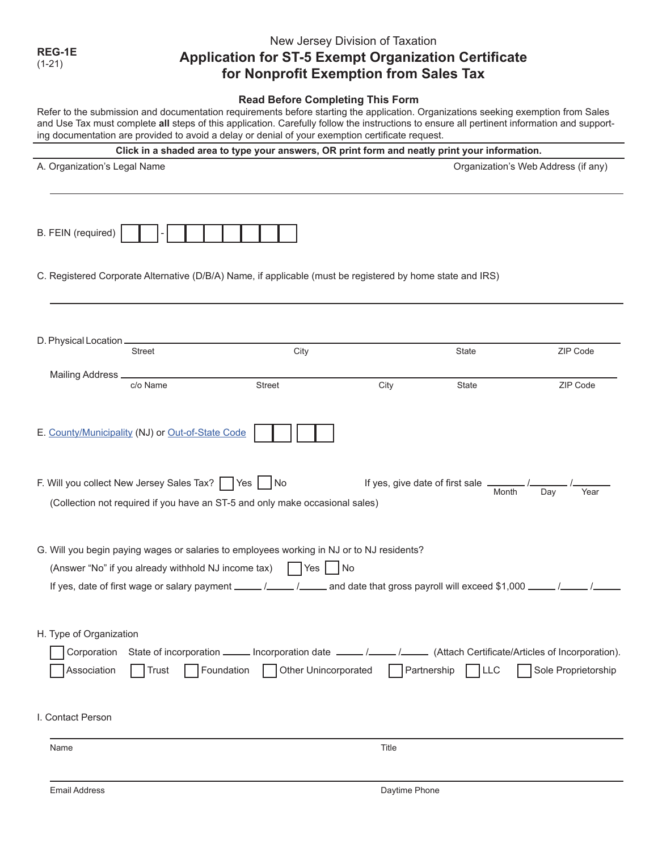**REG-1E**  (1-21)

## New Jersey Division of Taxation **Application for ST-5 Exempt Organization Certificate for Nonprofit Exemption from Sales Tax**

### **Read Before Completing This Form**

Refer to the submission and documentation requirements before starting the application. Organizations seeking exemption from Sales and Use Tax must complete **all** steps of this application. Carefully follow the instructions to ensure all pertinent information and supporting documentation are provided to avoid a delay or denial of your exemption certificate request.

| Click in a shaded area to type your answers, OR print form and neatly print your information.                                                                                                                                                                                             |                      |                                   |             |                                     |
|-------------------------------------------------------------------------------------------------------------------------------------------------------------------------------------------------------------------------------------------------------------------------------------------|----------------------|-----------------------------------|-------------|-------------------------------------|
| A. Organization's Legal Name                                                                                                                                                                                                                                                              |                      |                                   |             | Organization's Web Address (if any) |
| B. FEIN (required)                                                                                                                                                                                                                                                                        |                      |                                   |             |                                     |
| C. Registered Corporate Alternative (D/B/A) Name, if applicable (must be registered by home state and IRS)                                                                                                                                                                                |                      |                                   |             |                                     |
| D. Physical Location _<br>Street                                                                                                                                                                                                                                                          | City                 |                                   | State       | ZIP Code                            |
| Mailing Address _<br>c/o Name                                                                                                                                                                                                                                                             | <b>Street</b>        | City                              | State       | ZIP Code                            |
| E. County/Municipality (NJ) or Out-of-State Code                                                                                                                                                                                                                                          |                      |                                   |             |                                     |
| F. Will you collect New Jersey Sales Tax?   Yes   No<br>(Collection not required if you have an ST-5 and only make occasional sales)                                                                                                                                                      |                      | If yes, give date of first sale _ | Month       | Day<br>Year                         |
| G. Will you begin paying wages or salaries to employees working in NJ or to NJ residents?<br>(Answer "No" if you already withhold NJ income tax)<br>Yes  <br> No<br>If yes, date of first wage or salary payment _____/_____/_____ and date that gross payroll will exceed \$1,000 _____/ |                      |                                   |             |                                     |
| H. Type of Organization<br>Corporation State of incorporation ______ Incorporation date _____ /_____ /_____ (Attach Certificate/Articles of Incorporation).<br>Foundation<br>Association<br>Trust                                                                                         | Other Unincorporated | Partnership                       | $ $ $ $ LLC | Sole Proprietorship                 |
| I. Contact Person                                                                                                                                                                                                                                                                         |                      |                                   |             |                                     |
| Name                                                                                                                                                                                                                                                                                      |                      | Title                             |             |                                     |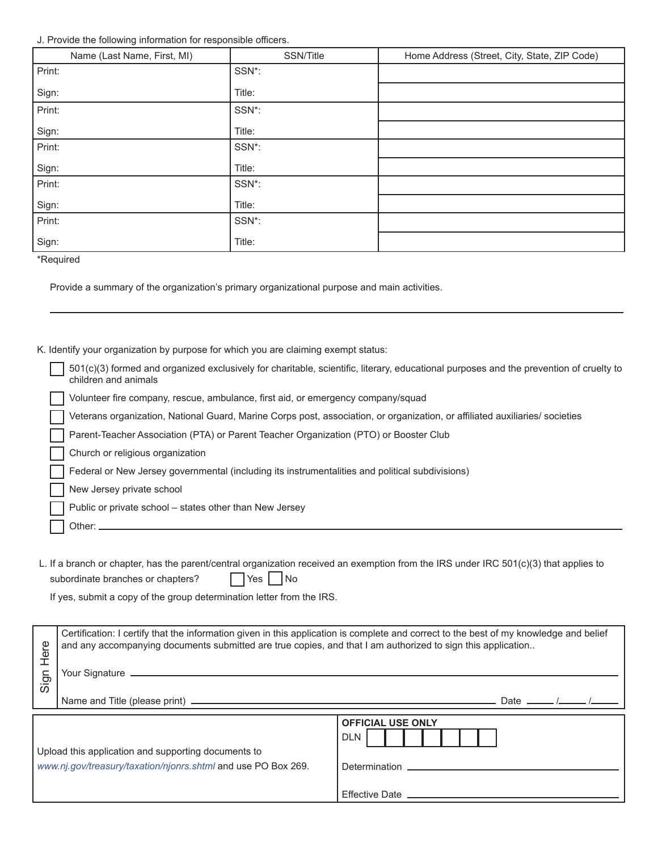### J. Provide the following information for responsible officers.

| Name (Last Name, First, MI) | SSN/Title | Home Address (Street, City, State, ZIP Code) |
|-----------------------------|-----------|----------------------------------------------|
| Print:                      | SSN*:     |                                              |
| Sign:                       | Title:    |                                              |
| Print:                      | SSN*:     |                                              |
| Sign:                       | Title:    |                                              |
| Print:                      | SSN*:     |                                              |
| Sign:                       | Title:    |                                              |
| Print:                      | SSN*:     |                                              |
| Sign:                       | Title:    |                                              |
| Print:                      | SSN*:     |                                              |
| Sign:                       | Title:    |                                              |

\*Required

Provide a summary of the organization's primary organizational purpose and main activities.

K. Identify your organization by purpose for which you are claiming exempt status:

| children and animals<br>Volunteer fire company, rescue, ambulance, first aid, or emergency company/squad<br>Veterans organization, National Guard, Marine Corps post, association, or organization, or affiliated auxiliaries/ societies<br>Parent-Teacher Association (PTA) or Parent Teacher Organization (PTO) or Booster Club<br>Church or religious organization<br>Federal or New Jersey governmental (including its instrumentalities and political subdivisions)<br>New Jersey private school<br>Public or private school - states other than New Jersey<br>Other: |                                                                                                                                        |
|----------------------------------------------------------------------------------------------------------------------------------------------------------------------------------------------------------------------------------------------------------------------------------------------------------------------------------------------------------------------------------------------------------------------------------------------------------------------------------------------------------------------------------------------------------------------------|----------------------------------------------------------------------------------------------------------------------------------------|
|                                                                                                                                                                                                                                                                                                                                                                                                                                                                                                                                                                            | 501(c)(3) formed and organized exclusively for charitable, scientific, literary, educational purposes and the prevention of cruelty to |
|                                                                                                                                                                                                                                                                                                                                                                                                                                                                                                                                                                            |                                                                                                                                        |
|                                                                                                                                                                                                                                                                                                                                                                                                                                                                                                                                                                            |                                                                                                                                        |
|                                                                                                                                                                                                                                                                                                                                                                                                                                                                                                                                                                            |                                                                                                                                        |
|                                                                                                                                                                                                                                                                                                                                                                                                                                                                                                                                                                            |                                                                                                                                        |
|                                                                                                                                                                                                                                                                                                                                                                                                                                                                                                                                                                            |                                                                                                                                        |
|                                                                                                                                                                                                                                                                                                                                                                                                                                                                                                                                                                            |                                                                                                                                        |
|                                                                                                                                                                                                                                                                                                                                                                                                                                                                                                                                                                            |                                                                                                                                        |
|                                                                                                                                                                                                                                                                                                                                                                                                                                                                                                                                                                            |                                                                                                                                        |

L. If a branch or chapter, has the parent/central organization received an exemption from the IRS under IRC 501(c)(3) that applies to subordinate branches or chapters? The Yes No

If yes, submit a copy of the group determination letter from the IRS.

| Here<br>Sign | Certification: I certify that the information given in this application is complete and correct to the best of my knowledge and belief<br>and any accompanying documents submitted are true copies, and that I am authorized to sign this application |                                        |                           |  |
|--------------|-------------------------------------------------------------------------------------------------------------------------------------------------------------------------------------------------------------------------------------------------------|----------------------------------------|---------------------------|--|
|              |                                                                                                                                                                                                                                                       |                                        | Date $\frac{\sqrt{2}}{2}$ |  |
|              | Upload this application and supporting documents to<br>www.nj.gov/treasury/taxation/njonrs.shtml and use PO Box 269.                                                                                                                                  | <b>OFFICIAL USE ONLY</b><br><b>DLN</b> |                           |  |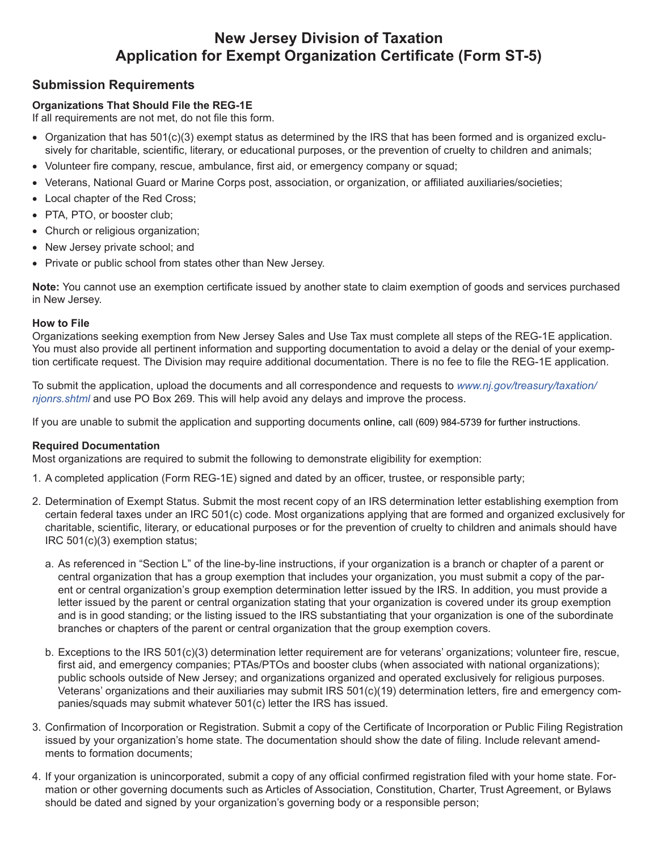# **New Jersey Division of Taxation Application for Exempt Organization Certificate (Form ST-5)**

## **Submission Requirements**

## **Organizations That Should File the REG-1E**

If all requirements are not met, do not file this form.

- Organization that has 501(c)(3) exempt status as determined by the IRS that has been formed and is organized exclusively for charitable, scientific, literary, or educational purposes, or the prevention of cruelty to children and animals;
- Volunteer fire company, rescue, ambulance, first aid, or emergency company or squad;
- Veterans, National Guard or Marine Corps post, association, or organization, or affiliated auxiliaries/societies;
- Local chapter of the Red Cross;
- PTA, PTO, or booster club;
- Church or religious organization;
- New Jersey private school; and
- Private or public school from states other than New Jersey.

**Note:** You cannot use an exemption certificate issued by another state to claim exemption of goods and services purchased in New Jersey.

### **How to File**

Organizations seeking exemption from New Jersey Sales and Use Tax must complete all steps of the REG-1E application. You must also provide all pertinent information and supporting documentation to avoid a delay or the denial of your exemption certificate request. The Division may require additional documentation. There is no fee to file the REG-1E application.

To submit the application, upload the documents and all correspondence and requests to *[www.nj.gov/treasury/taxation/](https://www.nj.gov/treasury/taxation/njonrs.shtml) [njonrs.shtml](https://www.nj.gov/treasury/taxation/njonrs.shtml)* and use PO Box 269. This will help avoid any delays and improve the process.

If you are unable to submit the application and supporting documents online, call (609) 984-5739 for further instructions.

### **Required Documentation**

Most organizations are required to submit the following to demonstrate eligibility for exemption:

- 1. A completed application (Form REG-1E) signed and dated by an officer, trustee, or responsible party;
- 2. Determination of Exempt Status. Submit the most recent copy of an IRS determination letter establishing exemption from certain federal taxes under an IRC 501(c) code. Most organizations applying that are formed and organized exclusively for charitable, scientific, literary, or educational purposes or for the prevention of cruelty to children and animals should have IRC 501(c)(3) exemption status;
	- a. As referenced in "Section L" of the line-by-line instructions, if your organization is a branch or chapter of a parent or central organization that has a group exemption that includes your organization, you must submit a copy of the parent or central organization's group exemption determination letter issued by the IRS. In addition, you must provide a letter issued by the parent or central organization stating that your organization is covered under its group exemption and is in good standing; or the listing issued to the IRS substantiating that your organization is one of the subordinate branches or chapters of the parent or central organization that the group exemption covers.
	- b. Exceptions to the IRS 501(c)(3) determination letter requirement are for veterans' organizations; volunteer fire, rescue, first aid, and emergency companies; PTAs/PTOs and booster clubs (when associated with national organizations); public schools outside of New Jersey; and organizations organized and operated exclusively for religious purposes. Veterans' organizations and their auxiliaries may submit IRS 501(c)(19) determination letters, fire and emergency companies/squads may submit whatever 501(c) letter the IRS has issued.
- 3. Confirmation of Incorporation or Registration. Submit a copy of the Certificate of Incorporation or Public Filing Registration issued by your organization's home state. The documentation should show the date of filing. Include relevant amendments to formation documents;
- 4. If your organization is unincorporated, submit a copy of any official confirmed registration filed with your home state. Formation or other governing documents such as Articles of Association, Constitution, Charter, Trust Agreement, or Bylaws should be dated and signed by your organization's governing body or a responsible person;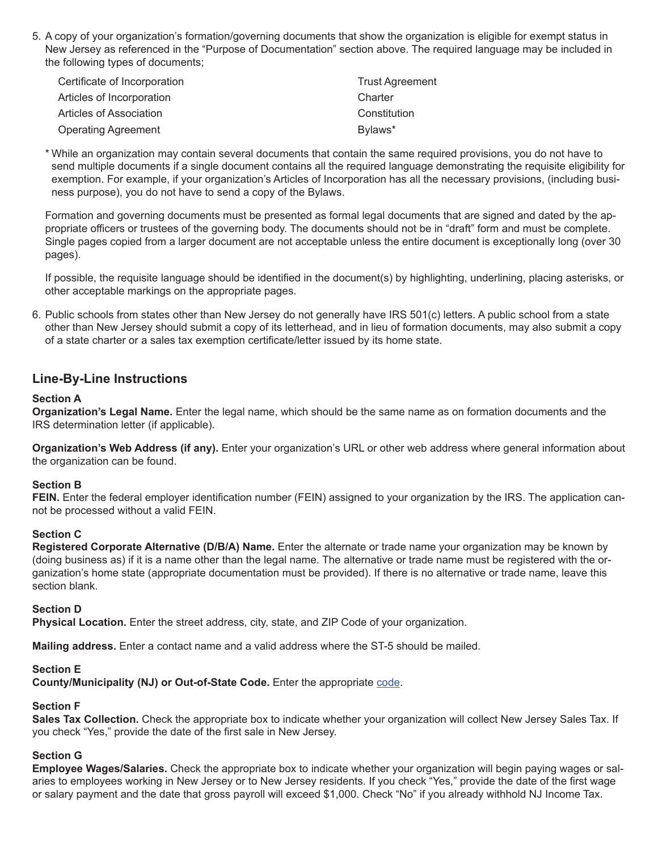5. A copy of your organization's formation/governing documents that show the organization is eligible for exempt status in New Jersey as referenced in the "Purpose of Documentation" section above. The required language may be included in the following types of documents;

| Certificate of Incorporation | <b>Trust Agreement</b> |
|------------------------------|------------------------|
| Articles of Incorporation    | Charter                |
| Articles of Association      | Constitution           |
| <b>Operating Agreement</b>   | Bylaws*                |

\* While an organization may contain several documents that contain the same required provisions, you do not have to send multiple documents if a single document contains all the required language demonstrating the requisite eligibility for exemption. For example, if your organization's Articles of Incorporation has all the necessary provisions, (including business purpose), you do not have to send a copy of the Bylaws.

Formation and governing documents must be presented as formal legal documents that are signed and dated by the appropriate officers or trustees of the governing body. The documents should not be in "draft" form and must be complete. Single pages copied from a larger document are not acceptable unless the entire document is exceptionally long (over 30 pages).

If possible, the requisite language should be identified in the document(s) by highlighting, underlining, placing asterisks, or other acceptable markings on the appropriate pages.

6. Public schools from states other than New Jersey do not generally have IRS 501(c) letters. A public school from a state other than New Jersey should submit a copy of its letterhead, and in lieu of formation documents, may also submit a copy of a state charter or a sales tax exemption certificate/letter issued by its home state.

## **Line-By-Line Instructions**

### **Section A**

**Organization's Legal Name.** Enter the legal name, which should be the same name as on formation documents and the IRS determination letter (if applicable).

**Organization's Web Address (if any).** Enter your organization's URL or other web address where general information about the organization can be found.

### **Section B**

**FEIN.** Enter the federal employer identification number (FEIN) assigned to your organization by the IRS. The application cannot be processed without a valid FEIN.

### **Section C**

**Registered Corporate Alternative (D/B/A) Name.** Enter the alternate or trade name your organization may be known by (doing business as) if it is a name other than the legal name. The alternative or trade name must be registered with the organization's home state (appropriate documentation must be provided). If there is no alternative or trade name, leave this section blank.

### **Section D**

**Physical Location.** Enter the street address, city, state, and ZIP Code of your organization.

**Mailing address.** Enter a contact name and a valid address where the ST-5 should be mailed.

### **Section E**

**County/Municipality (NJ) or Out-of-State Code.** Enter the appropriate [code](#page-5-0).

### **Section F**

**Sales Tax Collection.** Check the appropriate box to indicate whether your organization will collect New Jersey Sales Tax. If you check "Yes," provide the date of the first sale in New Jersey.

### **Section G**

**Employee Wages/Salaries.** Check the appropriate box to indicate whether your organization will begin paying wages or salaries to employees working in New Jersey or to New Jersey residents. If you check "Yes," provide the date of the first wage or salary payment and the date that gross payroll will exceed \$1,000. Check "No" if you already withhold NJ Income Tax.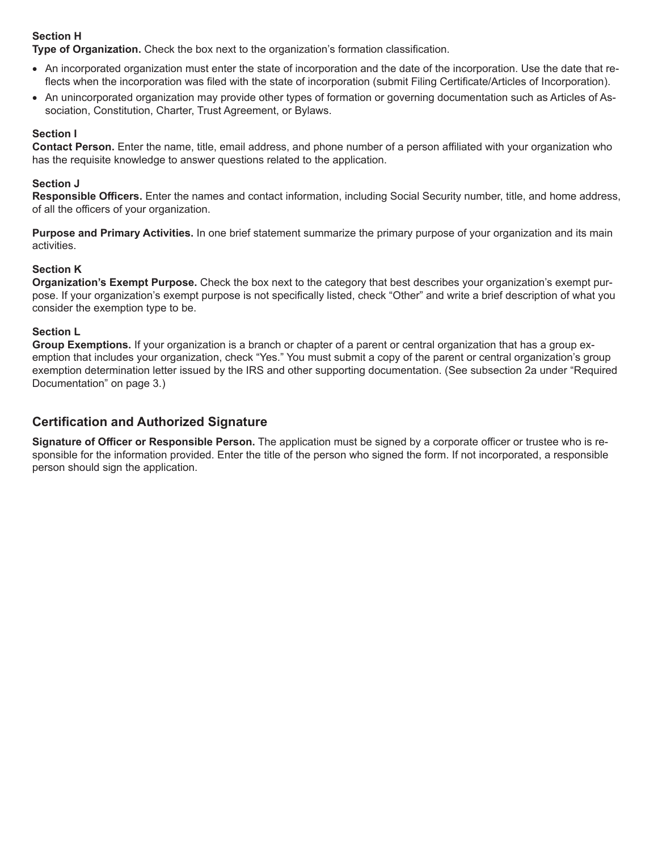## **Section H**

**Type of Organization.** Check the box next to the organization's formation classification.

- An incorporated organization must enter the state of incorporation and the date of the incorporation. Use the date that reflects when the incorporation was filed with the state of incorporation (submit Filing Certificate/Articles of Incorporation).
- An unincorporated organization may provide other types of formation or governing documentation such as Articles of Association, Constitution, Charter, Trust Agreement, or Bylaws.

### **Section I**

**Contact Person.** Enter the name, title, email address, and phone number of a person affiliated with your organization who has the requisite knowledge to answer questions related to the application.

### **Section J**

**Responsible Officers.** Enter the names and contact information, including Social Security number, title, and home address, of all the officers of your organization.

**Purpose and Primary Activities.** In one brief statement summarize the primary purpose of your organization and its main activities.

### **Section K**

**Organization's Exempt Purpose.** Check the box next to the category that best describes your organization's exempt purpose. If your organization's exempt purpose is not specifically listed, check "Other" and write a brief description of what you consider the exemption type to be.

### **Section L**

**Group Exemptions.** If your organization is a branch or chapter of a parent or central organization that has a group exemption that includes your organization, check "Yes." You must submit a copy of the parent or central organization's group exemption determination letter issued by the IRS and other supporting documentation. (See subsection 2a under "Required Documentation" on page 3.)

## **Certification and Authorized Signature**

**Signature of Officer or Responsible Person.** The application must be signed by a corporate officer or trustee who is responsible for the information provided. Enter the title of the person who signed the form. If not incorporated, a responsible person should sign the application.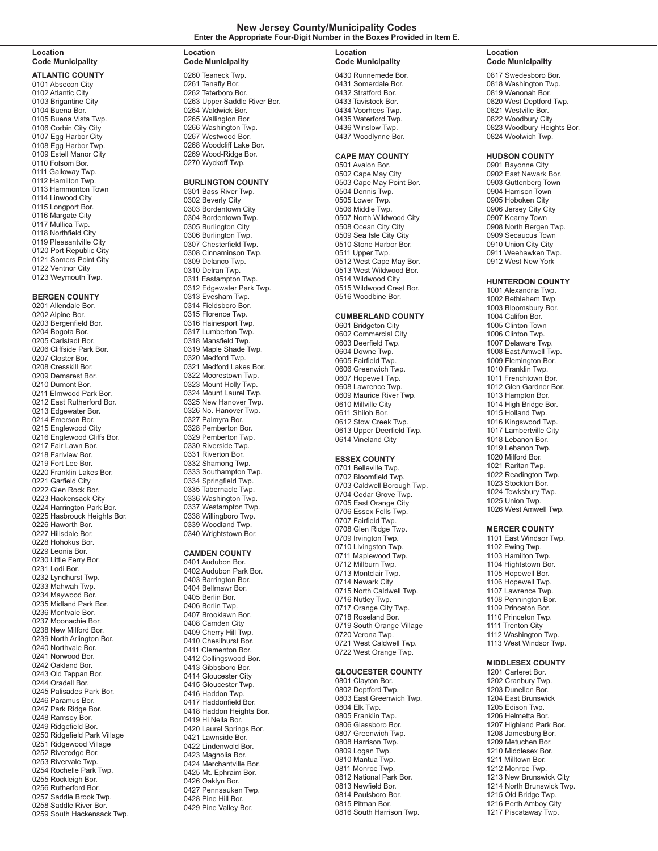#### **New Jersey County/Municipality Codes Enter the Appropriate Four-Digit Number in the Boxes Provided in Item E.**

#### **Location Code Municipality**

**ATLANTIC COUNTY** 0101 Absecon City 0102 Atlantic City 0103 Brigantine City 0104 Buena Bor. 0105 Buena Vista Twp. 0106 Corbin City City 0107 Egg Harbor City 0108 Egg Harbor Twp. 0109 Estell Manor City 0110 Folsom Bor. 0111 Galloway Twp. 0112 Hamilton Twp. 0113 Hammonton Town 0114 Linwood City 0115 Longport Bor. 0116 Margate City 0117 Mullica Twp. 0118 Northfield City 0119 Pleasantville City 0120 Port Republic City 0121 Somers Point City 0122 Ventnor City 0123 Weymouth Twp.

#### **BERGEN COUNTY**

0201 Allendale Bor. 0202 Alpine Bor. 0203 Bergenfield Bor. 0204 Bogota Bor. 0205 Carlstadt Bor. 0206 Cliffside Park Bor. 0207 Closter Bor. 0208 Cresskill Bor. 0209 Demarest Bor. 0210 Dumont Bor. 0211 Elmwood Park Bor. 0212 East Rutherford Bor. 0213 Edgewater Bor. 0214 Emerson Bor. 0215 Englewood City 0216 Englewood Cliffs Bor. 0217 Fair Lawn Bor. 0218 Fariview Bor. 0219 Fort Lee Bor. 0220 Franklin Lakes Bor. 0221 Garfield City 0222 Glen Rock Bor. 0223 Hackensack City 0224 Harrington Park Bor. 0225 Hasbrouck Heights Bor. 0226 Haworth Bor. 0227 Hillsdale Bor. 0228 Hohokus Bor. 0229 Leonia Bor. 0230 Little Ferry Bor. 0231 Lodi Bor. 0232 Lyndhurst Twp. 0233 Mahwah Twp. 0234 Maywood Bor. 0235 Midland Park Bor. 0236 Montvale Bor. 0237 Moonachie Bor. 0238 New Milford Bor. 0239 North Arlington Bor. 0240 Northvale Bor. 0241 Norwood Bor. 0242 Oakland Bor. 0243 Old Tappan Bor. 0244 Oradell Bor. 0245 Palisades Park Bor. 0246 Paramus Bor. 0247 Park Ridge Bor. 0248 Ramsey Bor. 0249 Ridgefield Bor. 0250 Ridgefield Park Village 0251 Ridgewood Village 0252 Riveredge Bor. 0253 Rivervale Twp. 0254 Rochelle Park Twp. 0255 Rockleigh Bor. 0256 Rutherford Bor. 0257 Saddle Brook Twp. 0258 Saddle River Bor. 0259 South Hackensack Twp.

#### **Location Code Municipality**

0260 Teaneck Twp. 0261 Tenafly Bor. 0262 Teterboro Bor. 0263 Upper Saddle River Bor. 0264 Waldwick Bor. 0265 Wallington Bor. 0266 Washington Twp. 0267 Westwood Bor. 0268 Woodcliff Lake Bor. 0269 Wood-Ridge Bor. 0270 Wyckoff Twp.

#### **BURLINGTON COUNTY**

0301 Bass River Twp. 0302 Beverly City 0303 Bordentown City 0304 Bordentown Twp. 0305 Burlington City 0306 Burlington Twp. 0307 Chesterfield Twp. 0308 Cinnaminson Twp. 0309 Delanco Twp. 0310 Delran Twp. 0311 Eastampton Twp. 0312 Edgewater Park Twp. 0313 Evesham Twp. 0314 Fieldsboro Bor. 0315 Florence Twp. 0316 Hainesport Twp. 0317 Lumberton Twp. 0318 Mansfield Twp. 0319 Maple Shade Twp. 0320 Medford Twp. 0321 Medford Lakes Bor. 0322 Moorestown Twp. 0323 Mount Holly Twp. 0324 Mount Laurel Twp. 0325 New Hanover Twp. 0326 No. Hanover Twp. 0327 Palmyra Bor. 0328 Pemberton Bor. 0329 Pemberton Twp. 0330 Riverside Twp. 0331 Riverton Bor. 0332 Shamong Twp. 0333 Southampton Twp. 0334 Springfield Twp. 0335 Tabernacle Twp. 0336 Washington Twp. 0337 Westampton Twp. 0338 Willingboro Twp. 0339 Woodland Twp. 0340 Wrightstown Bor.

#### **CAMDEN COUNTY**

0401 Audubon Bor. 0402 Audubon Park Bor. 0403 Barrington Bor. 0404 Bellmawr Bor. 0405 Berlin Bor. 0406 Berlin Twp. 0407 Brooklawn Bor. 0408 Camden City 0409 Cherry Hill Twp. 0410 Chesilhurst Bor. 0411 Clementon Bor. 0412 Collingswood Bor. 0413 Gibbsboro Bor. 0414 Gloucester City 0415 Gloucester Twp. 0416 Haddon Twp. 0417 Haddonfield Bor. 0418 Haddon Heights Bor. 0419 Hi Nella Bor. 0420 Laurel Springs Bor. 0421 Lawnside Bor. 0422 Lindenwold Bor. 0423 Magnolia Bor. 0424 Merchantville Bor. 0425 Mt. Ephraim Bor. 0426 Oaklyn Bor. 0427 Pennsauken Twp. 0428 Pine Hill Bor. 0429 Pine Valley Bor.

#### <span id="page-5-0"></span>**Location Code Municipality**

0430 Runnemede Bor. 0431 Somerdale Bor. 0432 Stratford Bor. 0433 Tavistock Bor. 0434 Voorhees Twp. 0435 Waterford Twp. 0436 Winslow Twp. 0437 Woodlynne Bor.

#### **CAPE MAY COUNTY**

0501 Avalon Bor. 0502 Cape May City 0503 Cape May Point Bor. 0504 Dennis Twp. 0505 Lower Twp. 0506 Middle Twp. 0507 North Wildwood City 0508 Ocean City City 0509 Sea Isle City City 0510 Stone Harbor Bor. 0511 Upper Twp. 0512 West Cape May Bor. 0513 West Wildwood Bor. 0514 Wildwood City 0515 Wildwood Crest Bor. 0516 Woodbine Bor.

#### **CUMBERLAND COUNTY**

0601 Bridgeton City 0602 Commercial City 0603 Deerfield Twp. 0604 Downe Twp. 0605 Fairfield Twp. 0606 Greenwich Twp. 0607 Hopewell Twp. 0608 Lawrence Twp. 0609 Maurice River Twp. 0610 Millville City 0611 Shiloh Bor. 0612 Stow Creek Twp. 0613 Upper Deerfield Twp. 0614 Vineland City

#### **ESSEX COUNTY**

0701 Belleville Twp. 0702 Bloomfield Twp. 0703 Caldwell Borough Twp. 0704 Cedar Grove Twp. 0705 East Orange City 0706 Essex Fells Twp. 0707 Fairfield Twp. 0708 Glen Ridge Twp. 0709 Irvington Twp. 0710 Livingston Twp. 0711 Maplewood Twp. 0712 Millburn Twp. 0713 Montclair Twp. 0714 Newark City 0715 North Caldwell Twp. 0716 Nutley Twp. 0717 Orange City Twp. 0718 Roseland Bor. 0719 South Orange Village 0720 Verona Twp. 0721 West Caldwell Twp. 0722 West Orange Twp.

#### **GLOUCESTER COUNTY**

0801 Clayton Bor. 0802 Deptford Twp. 0803 East Greenwich Twp. 0804 Elk Twp. 0805 Franklin Twp. 0806 Glassboro Bor. 0807 Greenwich Twp. 0808 Harrison Twp. 0809 Logan Twp. 0810 Mantua Twp. 0811 Monroe Twp. 0812 National Park Bor. 0813 Newfield Bor. 0814 Paulsboro Bor. 0815 Pitman Bor. 0816 South Harrison Twp.

#### **Location Code Municipality**

0817 Swedesboro Bor. 0818 Washington Twp. 0819 Wenonah Bor. 0820 West Deptford Twp. 0821 Westville Bor. 0822 Woodbury City 0823 Woodbury Heights Bor. 0824 Woolwich Twp.

#### **HUDSON COUNTY**

0901 Bayonne City 0902 East Newark Bor. 0903 Guttenberg Town 0904 Harrison Town 0905 Hoboken City 0906 Jersey City City 0907 Kearny Town 0908 North Bergen Twp. 0909 Secaucus Town 0910 Union City City 0911 Weehawken Twp. 0912 West New York

#### **HUNTERDON COUNTY**

1001 Alexandria Twp. 1002 Bethlehem Twp. 1003 Bloomsbury Bor. 1004 Califon Bor. 1005 Clinton Town 1006 Clinton Twp. 1007 Delaware Twp. 1008 East Amwell Twp. 1009 Flemington Bor. 1010 Franklin Twp. 1011 Frenchtown Bor. 1012 Glen Gardner Bor. 1013 Hampton Bor. 1014 High Bridge Bor. 1015 Holland Twp. 1016 Kingswood Twp. 1017 Lambertville City 1018 Lebanon Bor. 1019 Lebanon Twp. 1020 Milford Bor. 1021 Raritan Twp. 1022 Readington Twp. 1023 Stockton Bor. 1024 Tewksbury Twp. 1025 Union Twp. 1026 West Amwell Twp.

#### **MERCER COUNTY**

1101 East Windsor Twp. 1102 Ewing Twp. 1103 Hamilton Twp. 1104 Hightstown Bor. 1105 Hopewell Bor. 1106 Hopewell Twp. 1107 Lawrence Twp. 1108 Pennington Bor. 1109 Princeton Bor. 1110 Princeton Twp. 1111 Trenton City 1112 Washington Twp. 1113 West Windsor Twp.

#### **MIDDLESEX COUNTY**

1201 Carteret Bor. 1202 Cranbury Twp. 1203 Dunellen Bor. 1204 East Brunswick 1205 Edison Twp. 1206 Helmetta Bor. 1207 Highland Park Bor. 1208 Jamesburg Bor. 1209 Metuchen Bor. 1210 Middlesex Bor. 1211 Milltown Bor. 1212 Monroe Twp. 1213 New Brunswick City 1214 North Brunswick Twp. 1215 Old Bridge Twp. 1216 Perth Amboy City 1217 Piscataway Twp.